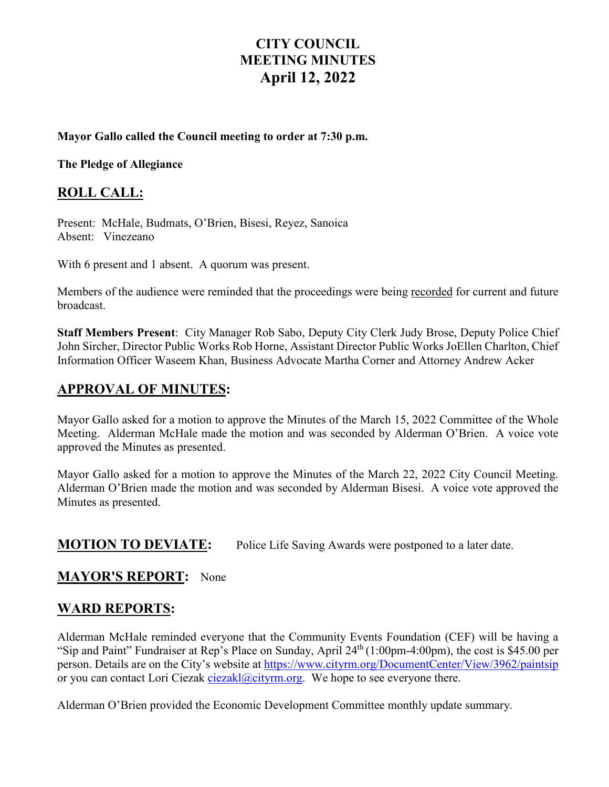# **CITY COUNCIL MEETING MINUTES April 12, 2022**

#### **Mayor Gallo called the Council meeting to order at 7:30 p.m.**

**The Pledge of Allegiance** 

### **ROLL CALL:**

Present: McHale, Budmats, O'Brien, Bisesi, Reyez, Sanoica Absent: Vinezeano

With 6 present and 1 absent. A quorum was present.

Members of the audience were reminded that the proceedings were being recorded for current and future broadcast.

**Staff Members Present**: City Manager Rob Sabo, Deputy City Clerk Judy Brose, Deputy Police Chief John Sircher, Director Public Works Rob Horne, Assistant Director Public Works JoEllen Charlton, Chief Information Officer Waseem Khan, Business Advocate Martha Corner and Attorney Andrew Acker

## **APPROVAL OF MINUTES:**

Mayor Gallo asked for a motion to approve the Minutes of the March 15, 2022 Committee of the Whole Meeting. Alderman McHale made the motion and was seconded by Alderman O'Brien. A voice vote approved the Minutes as presented.

Mayor Gallo asked for a motion to approve the Minutes of the March 22, 2022 City Council Meeting. Alderman O'Brien made the motion and was seconded by Alderman Bisesi. A voice vote approved the Minutes as presented.

### **MOTION TO DEVIATE:** Police Life Saving Awards were postponed to a later date.

#### **MAYOR'S REPORT:** None

#### **WARD REPORTS:**

Alderman McHale reminded everyone that the Community Events Foundation (CEF) will be having a "Sip and Paint" Fundraiser at Rep's Place on Sunday, April 24<sup>th</sup> (1:00pm-4:00pm), the cost is \$45.00 per person. Details are on the City's website at <https://www.cityrm.org/DocumentCenter/View/3962/paintsip> or you can contact Lori Ciezak [ciezakl@cityrm.org.](mailto:ciezakl@cityrm.org) We hope to see everyone there.

Alderman O'Brien provided the Economic Development Committee monthly update summary.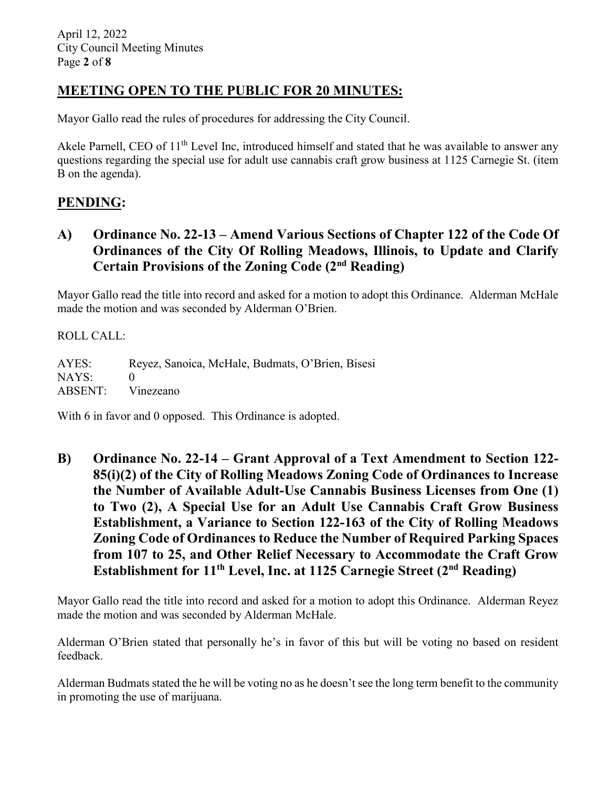## **MEETING OPEN TO THE PUBLIC FOR 20 MINUTES:**

Mayor Gallo read the rules of procedures for addressing the City Council.

Akele Parnell, CEO of 11<sup>th</sup> Level Inc, introduced himself and stated that he was available to answer any questions regarding the special use for adult use cannabis craft grow business at 1125 Carnegie St. (item B on the agenda).

## **PENDING:**

**A) Ordinance No. 22-13 – Amend Various Sections of Chapter 122 of the Code Of Ordinances of the City Of Rolling Meadows, Illinois, to Update and Clarify Certain Provisions of the Zoning Code (2nd Reading)**

Mayor Gallo read the title into record and asked for a motion to adopt this Ordinance. Alderman McHale made the motion and was seconded by Alderman O'Brien.

ROLL CALL:

AYES: Reyez, Sanoica, McHale, Budmats, O'Brien, Bisesi NAYS: 0 ABSENT: Vinezeano

With 6 in favor and 0 opposed. This Ordinance is adopted.

**B) Ordinance No. 22-14 – Grant Approval of a Text Amendment to Section 122- 85(i)(2) of the City of Rolling Meadows Zoning Code of Ordinances to Increase the Number of Available Adult-Use Cannabis Business Licenses from One (1) to Two (2), A Special Use for an Adult Use Cannabis Craft Grow Business Establishment, a Variance to Section 122-163 of the City of Rolling Meadows Zoning Code of Ordinances to Reduce the Number of Required Parking Spaces from 107 to 25, and Other Relief Necessary to Accommodate the Craft Grow Establishment for 11th Level, Inc. at 1125 Carnegie Street (2nd Reading)**

Mayor Gallo read the title into record and asked for a motion to adopt this Ordinance. Alderman Reyez made the motion and was seconded by Alderman McHale.

Alderman O'Brien stated that personally he's in favor of this but will be voting no based on resident feedback.

Alderman Budmats stated the he will be voting no as he doesn't see the long term benefit to the community in promoting the use of marijuana.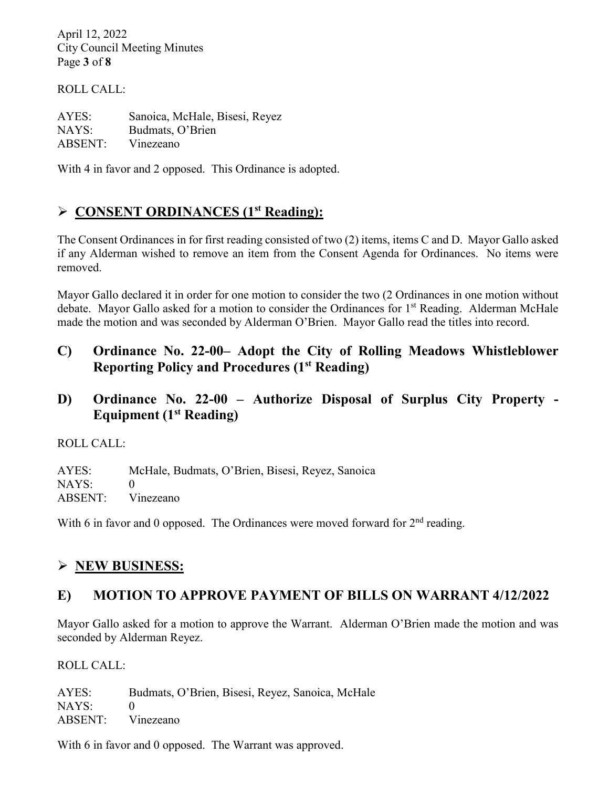April 12, 2022 City Council Meeting Minutes Page **3** of **8**

ROLL CALL:

AYES: Sanoica, McHale, Bisesi, Reyez NAYS: Budmats, O'Brien ABSENT: Vinezeano

With 4 in favor and 2 opposed. This Ordinance is adopted.

## **CONSENT ORDINANCES (1st Reading):**

The Consent Ordinances in for first reading consisted of two (2) items, items C and D. Mayor Gallo asked if any Alderman wished to remove an item from the Consent Agenda for Ordinances. No items were removed.

Mayor Gallo declared it in order for one motion to consider the two (2 Ordinances in one motion without debate. Mayor Gallo asked for a motion to consider the Ordinances for 1<sup>st</sup> Reading. Alderman McHale made the motion and was seconded by Alderman O'Brien. Mayor Gallo read the titles into record.

- **C) Ordinance No. 22-00– Adopt the City of Rolling Meadows Whistleblower Reporting Policy and Procedures (1st Reading)**
- **D) Ordinance No. 22-00 – Authorize Disposal of Surplus City Property - Equipment (1st Reading)**

ROLL CALL:

AYES: McHale, Budmats, O'Brien, Bisesi, Reyez, Sanoica NAYS: 0 ABSENT: Vinezeano

With 6 in favor and 0 opposed. The Ordinances were moved forward for  $2<sup>nd</sup>$  reading.

## **NEW BUSINESS:**

### **E) MOTION TO APPROVE PAYMENT OF BILLS ON WARRANT 4/12/2022**

Mayor Gallo asked for a motion to approve the Warrant. Alderman O'Brien made the motion and was seconded by Alderman Reyez.

ROLL CALL:

AYES: Budmats, O'Brien, Bisesi, Reyez, Sanoica, McHale  $NAYS: 0$ ABSENT: Vinezeano

With 6 in favor and 0 opposed. The Warrant was approved.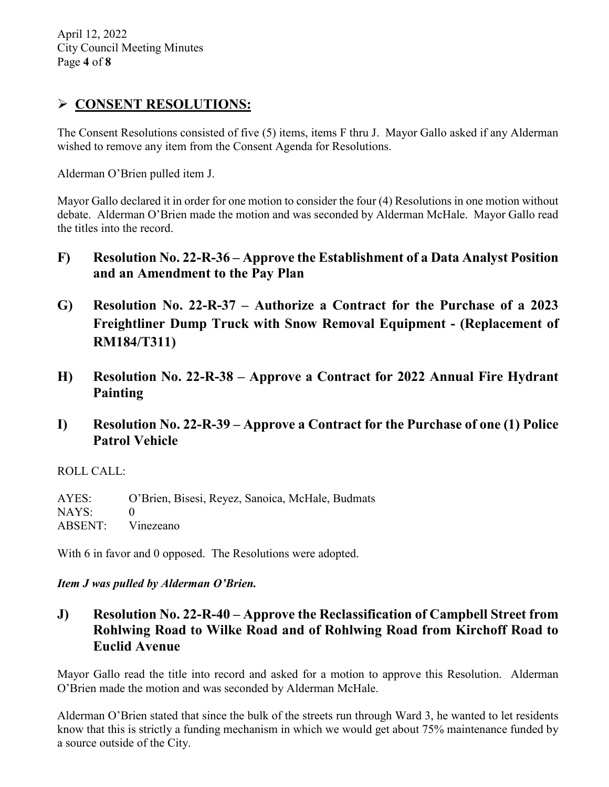## **CONSENT RESOLUTIONS:**

The Consent Resolutions consisted of five (5) items, items F thru J. Mayor Gallo asked if any Alderman wished to remove any item from the Consent Agenda for Resolutions.

Alderman O'Brien pulled item J.

Mayor Gallo declared it in order for one motion to consider the four (4) Resolutions in one motion without debate. Alderman O'Brien made the motion and was seconded by Alderman McHale. Mayor Gallo read the titles into the record.

- **F) Resolution No. 22-R-36 – Approve the Establishment of a Data Analyst Position and an Amendment to the Pay Plan**
- **G) Resolution No. 22-R-37 – Authorize a Contract for the Purchase of a 2023 Freightliner Dump Truck with Snow Removal Equipment - (Replacement of RM184/T311)**
- **H) Resolution No. 22-R-38 – Approve a Contract for 2022 Annual Fire Hydrant Painting**
- **I) Resolution No. 22-R-39 – Approve a Contract for the Purchase of one (1) Police Patrol Vehicle**

ROLL CALL:

AYES: O'Brien, Bisesi, Reyez, Sanoica, McHale, Budmats NAYS: 0 ABSENT: Vinezeano

With 6 in favor and 0 opposed. The Resolutions were adopted.

#### *Item J was pulled by Alderman O'Brien.*

**J) Resolution No. 22-R-40 – Approve the Reclassification of Campbell Street from Rohlwing Road to Wilke Road and of Rohlwing Road from Kirchoff Road to Euclid Avenue**

Mayor Gallo read the title into record and asked for a motion to approve this Resolution. Alderman O'Brien made the motion and was seconded by Alderman McHale.

Alderman O'Brien stated that since the bulk of the streets run through Ward 3, he wanted to let residents know that this is strictly a funding mechanism in which we would get about 75% maintenance funded by a source outside of the City.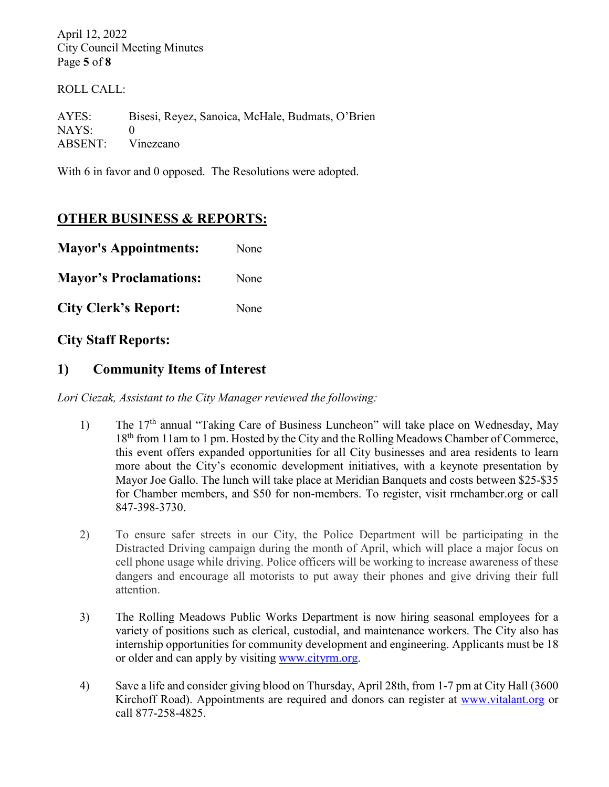April 12, 2022 City Council Meeting Minutes Page **5** of **8**

ROLL CALL:

AYES: Bisesi, Reyez, Sanoica, McHale, Budmats, O'Brien NAYS: 0 ABSENT: Vinezeano

With 6 in favor and 0 opposed. The Resolutions were adopted.

## **OTHER BUSINESS & REPORTS:**

| <b>Mayor's Appointments:</b>  | None |
|-------------------------------|------|
| <b>Mayor's Proclamations:</b> | None |
| <b>City Clerk's Report:</b>   | None |

**City Staff Reports:** 

### **1) Community Items of Interest**

*Lori Ciezak, Assistant to the City Manager reviewed the following:* 

- 1) The 17<sup>th</sup> annual "Taking Care of Business Luncheon" will take place on Wednesday, May 18<sup>th</sup> from 11am to 1 pm. Hosted by the City and the Rolling Meadows Chamber of Commerce, this event offers expanded opportunities for all City businesses and area residents to learn more about the City's economic development initiatives, with a keynote presentation by Mayor Joe Gallo. The lunch will take place at Meridian Banquets and costs between \$25-\$35 for Chamber members, and \$50 for non-members. To register, visit rmchamber.org or call 847-398-3730.
- 2) To ensure safer streets in our City, the Police Department will be participating in the Distracted Driving campaign during the month of April, which will place a major focus on cell phone usage while driving. Police officers will be working to increase awareness of these dangers and encourage all motorists to put away their phones and give driving their full attention.
- 3) The Rolling Meadows Public Works Department is now hiring seasonal employees for a variety of positions such as clerical, custodial, and maintenance workers. The City also has internship opportunities for community development and engineering. Applicants must be 18 or older and can apply by visiting [www.cityrm.org.](http://www.cityrm.org/)
- 4) Save a life and consider giving blood on Thursday, April 28th, from 1-7 pm at City Hall (3600 Kirchoff Road). Appointments are required and donors can register at [www.vitalant.org](http://www.vitalant.org/) or call 877-258-4825.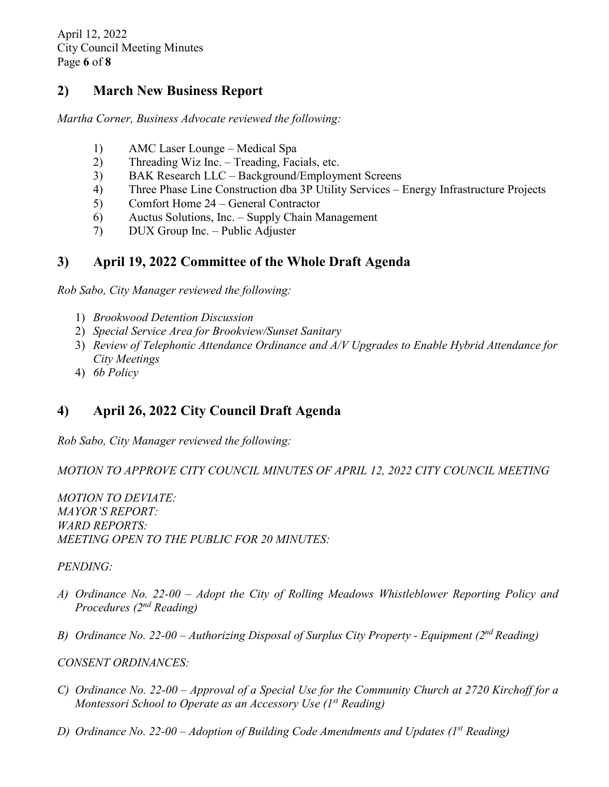## **2) March New Business Report**

*Martha Corner, Business Advocate reviewed the following:* 

- 1) AMC Laser Lounge Medical Spa
- 2) Threading Wiz Inc. Treading, Facials, etc.
- 3) BAK Research LLC Background/Employment Screens
- 4) Three Phase Line Construction dba 3P Utility Services Energy Infrastructure Projects
- 5) Comfort Home 24 General Contractor
- 6) Auctus Solutions, Inc. Supply Chain Management
- 7) DUX Group Inc. Public Adjuster

## **3) April 19, 2022 Committee of the Whole Draft Agenda**

*Rob Sabo, City Manager reviewed the following:* 

- 1) *Brookwood Detention Discussion*
- 2) *Special Service Area for Brookview/Sunset Sanitary*
- 3) *Review of Telephonic Attendance Ordinance and A/V Upgrades to Enable Hybrid Attendance for City Meetings*
- 4) *6b Policy*

# **4) April 26, 2022 City Council Draft Agenda**

*Rob Sabo, City Manager reviewed the following:* 

*MOTION TO APPROVE CITY COUNCIL MINUTES OF APRIL 12, 2022 CITY COUNCIL MEETING* 

*MOTION TO DEVIATE: MAYOR'S REPORT: WARD REPORTS: MEETING OPEN TO THE PUBLIC FOR 20 MINUTES:* 

#### *PENDING:*

- *A) Ordinance No. 22-00 – Adopt the City of Rolling Meadows Whistleblower Reporting Policy and Procedures (2nd Reading)*
- *B) Ordinance No. 22-00 – Authorizing Disposal of Surplus City Property - Equipment (2nd Reading)*

#### *CONSENT ORDINANCES:*

- *C) Ordinance No. 22-00 – Approval of a Special Use for the Community Church at 2720 Kirchoff for a Montessori School to Operate as an Accessory Use (1st Reading)*
- *D) Ordinance No. 22-00 – Adoption of Building Code Amendments and Updates (1st Reading)*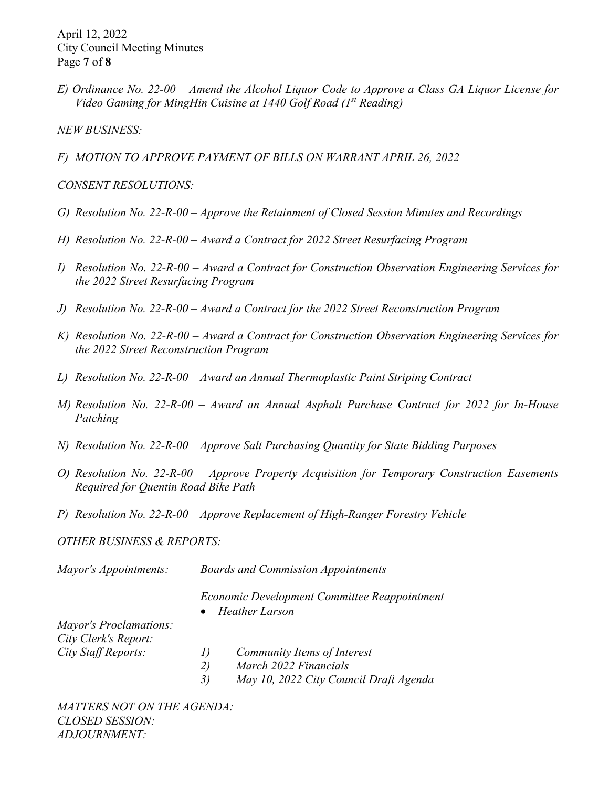April 12, 2022 City Council Meeting Minutes Page **7** of **8**

*E) Ordinance No. 22-00 – Amend the Alcohol Liquor Code to Approve a Class GA Liquor License for Video Gaming for MingHin Cuisine at 1440 Golf Road (1st Reading)*

*NEW BUSINESS:*

*F) MOTION TO APPROVE PAYMENT OF BILLS ON WARRANT APRIL 26, 2022*

*CONSENT RESOLUTIONS:*

- *G) Resolution No. 22-R-00 – Approve the Retainment of Closed Session Minutes and Recordings*
- *H) Resolution No. 22-R-00 – Award a Contract for 2022 Street Resurfacing Program*
- *I) Resolution No. 22-R-00 – Award a Contract for Construction Observation Engineering Services for the 2022 Street Resurfacing Program*
- *J) Resolution No. 22-R-00 – Award a Contract for the 2022 Street Reconstruction Program*
- *K) Resolution No. 22-R-00 – Award a Contract for Construction Observation Engineering Services for the 2022 Street Reconstruction Program*
- *L) Resolution No. 22-R-00 – Award an Annual Thermoplastic Paint Striping Contract*
- *M) Resolution No. 22-R-00 – Award an Annual Asphalt Purchase Contract for 2022 for In-House Patching*
- *N) Resolution No. 22-R-00 – Approve Salt Purchasing Quantity for State Bidding Purposes*
- *O) Resolution No. 22-R-00 – Approve Property Acquisition for Temporary Construction Easements Required for Quentin Road Bike Path*
- *P) Resolution No. 22-R-00 – Approve Replacement of High-Ranger Forestry Vehicle*

*OTHER BUSINESS & REPORTS:* 

| Mayor's Appointments:         |                                                                       | <b>Boards and Commission Appointments</b> |  |
|-------------------------------|-----------------------------------------------------------------------|-------------------------------------------|--|
|                               | Economic Development Committee Reappointment<br><b>Heather Larson</b> |                                           |  |
| <b>Mayor's Proclamations:</b> |                                                                       |                                           |  |
| City Clerk's Report:          |                                                                       |                                           |  |
| City Staff Reports:           | 1)                                                                    | Community Items of Interest               |  |
|                               | 2)                                                                    | March 2022 Financials                     |  |
|                               | 3)                                                                    | May 10, 2022 City Council Draft Agenda    |  |

*MATTERS NOT ON THE AGENDA: CLOSED SESSION: ADJOURNMENT:*